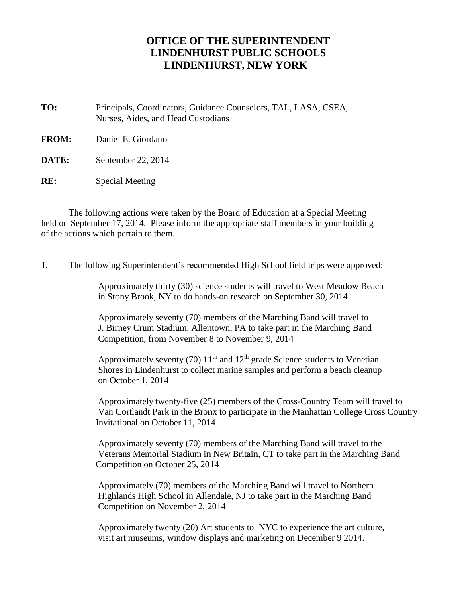## **OFFICE OF THE SUPERINTENDENT LINDENHURST PUBLIC SCHOOLS LINDENHURST, NEW YORK**

**TO:** Principals, Coordinators, Guidance Counselors, TAL, LASA, CSEA, Nurses, Aides, and Head Custodians

**FROM:** Daniel E. Giordano

**DATE:** September 22, 2014

**RE:** Special Meeting

The following actions were taken by the Board of Education at a Special Meeting held on September 17, 2014. Please inform the appropriate staff members in your building of the actions which pertain to them.

1. The following Superintendent's recommended High School field trips were approved:

Approximately thirty (30) science students will travel to West Meadow Beach in Stony Brook, NY to do hands-on research on September 30, 2014

Approximately seventy (70) members of the Marching Band will travel to J. Birney Crum Stadium, Allentown, PA to take part in the Marching Band Competition, from November 8 to November 9, 2014

Approximately seventy (70)  $11<sup>th</sup>$  and  $12<sup>th</sup>$  grade Science students to Venetian Shores in Lindenhurst to collect marine samples and perform a beach cleanup on October 1, 2014

Approximately twenty-five (25) members of the Cross-Country Team will travel to Van Cortlandt Park in the Bronx to participate in the Manhattan College Cross Country Invitational on October 11, 2014

Approximately seventy (70) members of the Marching Band will travel to the Veterans Memorial Stadium in New Britain, CT to take part in the Marching Band Competition on October 25, 2014

Approximately (70) members of the Marching Band will travel to Northern Highlands High School in Allendale, NJ to take part in the Marching Band Competition on November 2, 2014

Approximately twenty (20) Art students to NYC to experience the art culture, visit art museums, window displays and marketing on December 9 2014.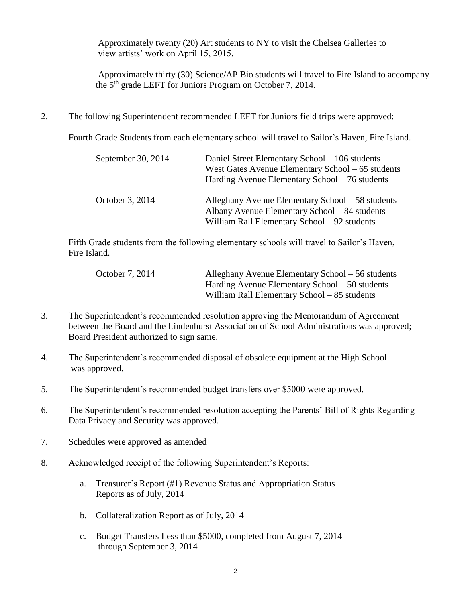Approximately twenty (20) Art students to NY to visit the Chelsea Galleries to view artists' work on April 15, 2015.

Approximately thirty (30) Science/AP Bio students will travel to Fire Island to accompany the 5th grade LEFT for Juniors Program on October 7, 2014.

2. The following Superintendent recommended LEFT for Juniors field trips were approved:

Fourth Grade Students from each elementary school will travel to Sailor's Haven, Fire Island.

| September 30, 2014 | Daniel Street Elementary School – 106 students<br>West Gates Avenue Elementary School – 65 students<br>Harding Avenue Elementary School – 76 students |
|--------------------|-------------------------------------------------------------------------------------------------------------------------------------------------------|
| October 3, 2014    | Alleghany Avenue Elementary School – 58 students<br>Albany Avenue Elementary School – 84 students<br>William Rall Elementary School – 92 students     |

Fifth Grade students from the following elementary schools will travel to Sailor's Haven, Fire Island.

| October 7, 2014 | Alleghany Avenue Elementary School – 56 students |
|-----------------|--------------------------------------------------|
|                 | Harding Avenue Elementary School – 50 students   |
|                 | William Rall Elementary School – 85 students     |

- 3. The Superintendent's recommended resolution approving the Memorandum of Agreement between the Board and the Lindenhurst Association of School Administrations was approved; Board President authorized to sign same.
- 4. The Superintendent's recommended disposal of obsolete equipment at the High School was approved.
- 5. The Superintendent's recommended budget transfers over \$5000 were approved.
- 6. The Superintendent's recommended resolution accepting the Parents' Bill of Rights Regarding Data Privacy and Security was approved.
- 7. Schedules were approved as amended
- 8. Acknowledged receipt of the following Superintendent's Reports:
	- a. Treasurer's Report (#1) Revenue Status and Appropriation Status Reports as of July, 2014
	- b. Collateralization Report as of July, 2014
	- c. Budget Transfers Less than \$5000, completed from August 7, 2014 through September 3, 2014